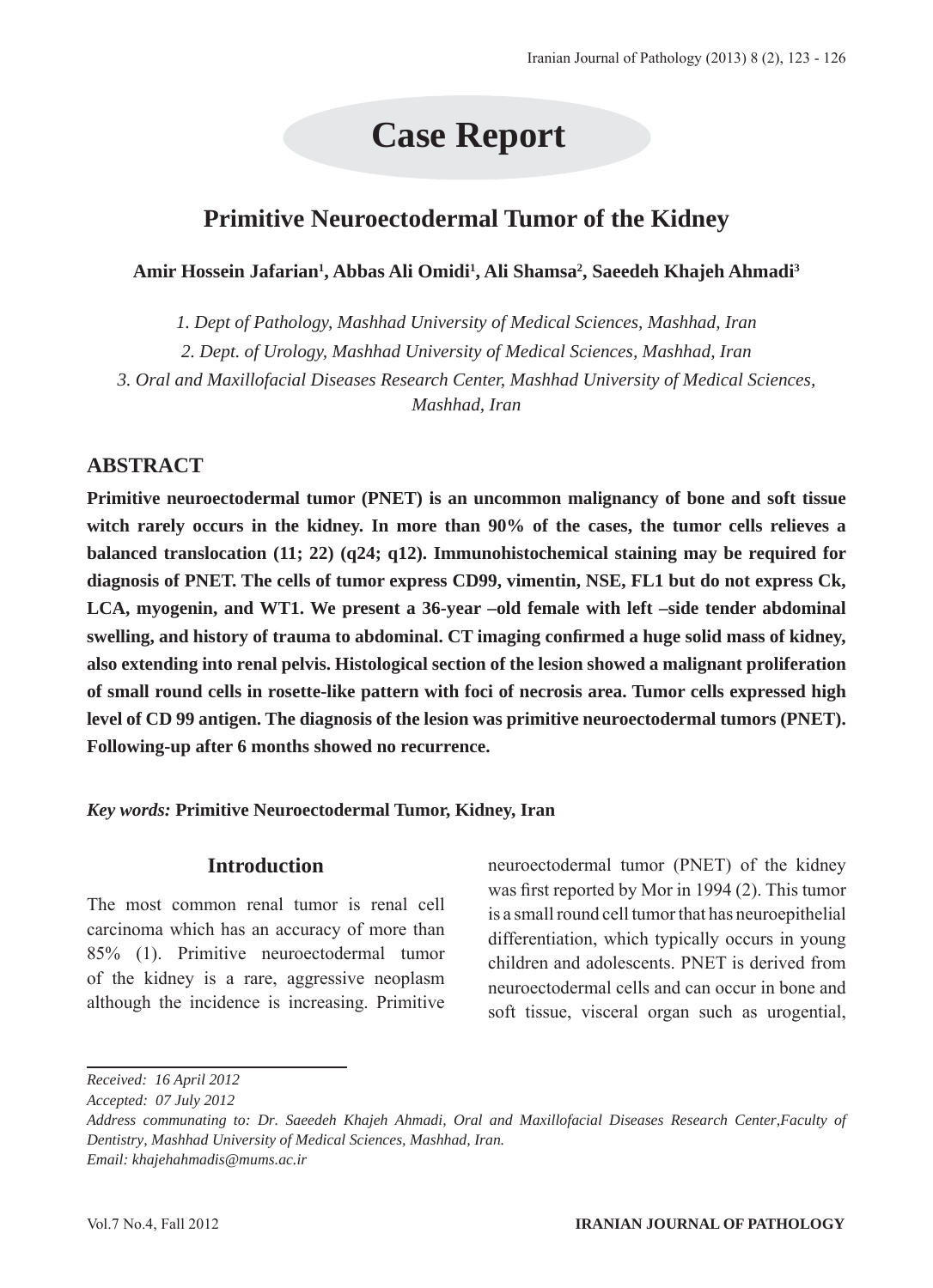# **Case Report**

## **Primitive Neuroectodermal Tumor of the Kidney**

**Amir Hossein Jafarian1 , Abbas Ali Omidi1 , Ali Shamsa2 , Saeedeh Khajeh Ahmadi3**

*1. Dept of Pathology, Mashhad University of Medical Sciences, Mashhad, Iran*

*2. Dept. of Urology, Mashhad University of Medical Sciences, Mashhad, Iran*

*3. Oral and Maxillofacial Diseases Research Center, Mashhad University of Medical Sciences, Mashhad, Iran*

## **ABSTRACT**

**Primitive neuroectodermal tumor (PNET) is an uncommon malignancy of bone and soft tissue witch rarely occurs in the kidney. In more than 90% of the cases, the tumor cells relieves a balanced translocation (11; 22) (q24; q12). Immunohistochemical staining may be required for diagnosis of PNET. The cells of tumor express CD99, vimentin, NSE, FL1 but do not express Ck, LCA, myogenin, and WT1. We present a 36-year –old female with left –side tender abdominal swelling, and history of trauma to abdominal. CT imaging confirmed a huge solid mass of kidney, also extending into renal pelvis. Histological section of the lesion showed a malignant proliferation of small round cells in rosette-like pattern with foci of necrosis area. Tumor cells expressed high level of CD 99 antigen. The diagnosis of the lesion was primitive neuroectodermal tumors (PNET). Following-up after 6 months showed no recurrence.**

*Key words:* **Primitive Neuroectodermal Tumor, Kidney, Iran**

### **Introduction**

The most common renal tumor is renal cell carcinoma which has an accuracy of more than 85% (1). Primitive neuroectodermal tumor of the kidney is a rare, aggressive neoplasm although the incidence is increasing. Primitive neuroectodermal tumor (PNET) of the kidney was first reported by Mor in 1994 (2). This tumor is a small round cell tumor that has neuroepithelial differentiation, which typically occurs in young children and adolescents. PNET is derived from neuroectodermal cells and can occur in bone and soft tissue, visceral organ such as urogential,

*Received: 16 April 2012*

*Accepted: 07 July 2012*

*Address communating to: Dr. Saeedeh Khajeh Ahmadi, Oral and Maxillofacial Diseases Research Center,Faculty of Dentistry, Mashhad University of Medical Sciences, Mashhad, Iran. Email: khajehahmadis@mums.ac.ir*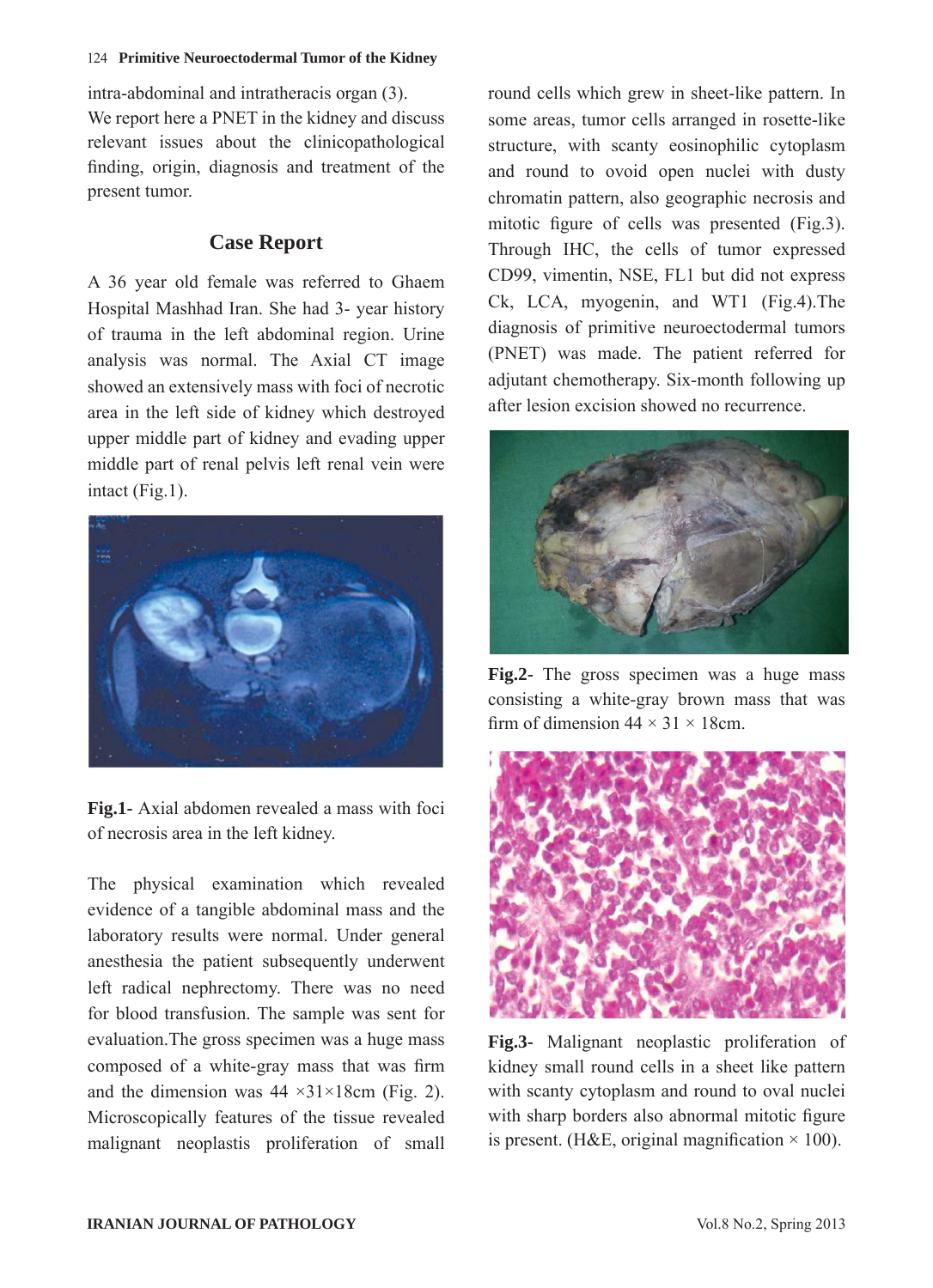#### 124 **Primitive Neuroectodermal Tumor of the Kidney**

intra-abdominal and intratheracis organ (3). We report here a PNET in the kidney and discuss relevant issues about the clinicopathological finding, origin, diagnosis and treatment of the present tumor.

## **Case Report**

A 36 year old female was referred to Ghaem Hospital Mashhad Iran. She had 3- year history of trauma in the left abdominal region. Urine analysis was normal. The Axial CT image showed an extensively mass with foci of necrotic area in the left side of kidney which destroyed upper middle part of kidney and evading upper middle part of renal pelvis left renal vein were intact (Fig.1).



**Fig.1-** Axial abdomen revealed a mass with foci of necrosis area in the left kidney.

The physical examination which revealed evidence of a tangible abdominal mass and the laboratory results were normal. Under general anesthesia the patient subsequently underwent left radical nephrectomy. There was no need for blood transfusion. The sample was sent for evaluation.The gross specimen was a huge mass composed of a white-gray mass that was firm and the dimension was  $44 \times 31 \times 18$ cm (Fig. 2). Microscopically features of the tissue revealed malignant neoplastis proliferation of small round cells which grew in sheet-like pattern. In some areas, tumor cells arranged in rosette-like structure, with scanty eosinophilic cytoplasm and round to ovoid open nuclei with dusty chromatin pattern, also geographic necrosis and mitotic figure of cells was presented (Fig.3). Through IHC, the cells of tumor expressed CD99, vimentin, NSE, FL1 but did not express Ck, LCA, myogenin, and WT1 (Fig.4).The diagnosis of primitive neuroectodermal tumors (PNET) was made. The patient referred for adjutant chemotherapy. Six-month following up after lesion excision showed no recurrence.



**Fig.2-** The gross specimen was a huge mass consisting a white-gray brown mass that was firm of dimension  $44 \times 31 \times 18$ cm.



**Fig.3-** Malignant neoplastic proliferation of kidney small round cells in a sheet like pattern with scanty cytoplasm and round to oval nuclei with sharp borders also abnormal mitotic figure is present. (H&E, original magnification  $\times$  100).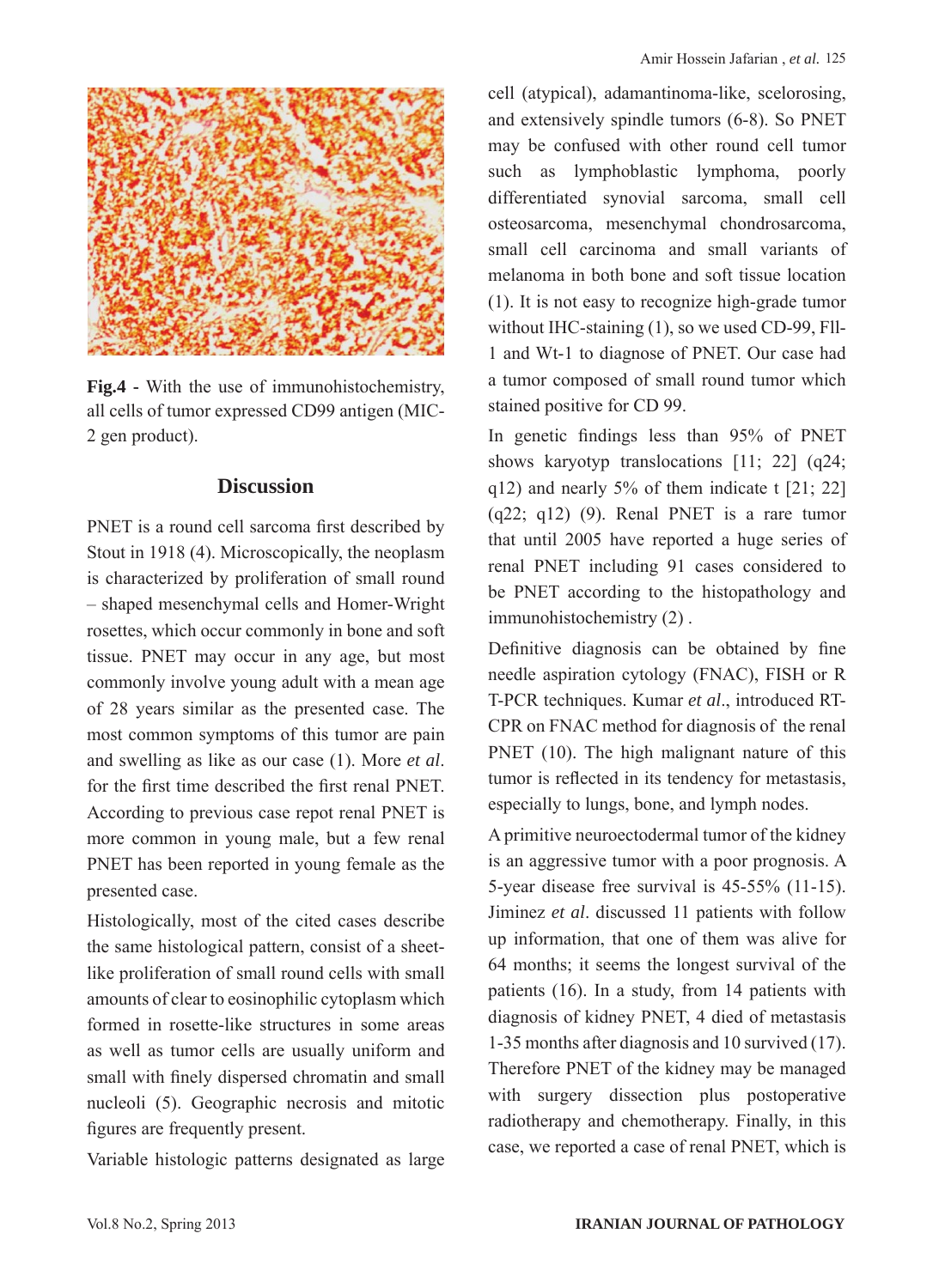

**Fig.4 -** With the use of immunohistochemistry, all cells of tumor expressed CD99 antigen (MIC-2 gen product).

#### **Discussion**

PNET is a round cell sarcoma first described by Stout in 1918 (4). Microscopically, the neoplasm is characterized by proliferation of small round – shaped mesenchymal cells and Homer-Wright rosettes, which occur commonly in bone and soft tissue. PNET may occur in any age, but most commonly involve young adult with a mean age of 28 years similar as the presented case. The most common symptoms of this tumor are pain and swelling as like as our case (1). More *et al*. for the first time described the first renal PNET. According to previous case repot renal PNET is more common in young male, but a few renal PNET has been reported in young female as the presented case.

Histologically, most of the cited cases describe the same histological pattern, consist of a sheetlike proliferation of small round cells with small amounts of clear to eosinophilic cytoplasm which formed in rosette-like structures in some areas as well as tumor cells are usually uniform and small with finely dispersed chromatin and small nucleoli (5). Geographic necrosis and mitotic figures are frequently present.

Variable histologic patterns designated as large

cell (atypical), adamantinoma-like, scelorosing, and extensively spindle tumors (6-8). So PNET may be confused with other round cell tumor such as lymphoblastic lymphoma, poorly differentiated synovial sarcoma, small cell osteosarcoma, mesenchymal chondrosarcoma, small cell carcinoma and small variants of melanoma in both bone and soft tissue location (1). It is not easy to recognize high-grade tumor without IHC-staining (1), so we used CD-99, Fll-1 and Wt-1 to diagnose of PNET. Our case had a tumor composed of small round tumor which stained positive for CD 99.

In genetic findings less than 95% of PNET shows karyotyp translocations [11; 22] (q24;  $q12$ ) and nearly 5% of them indicate t [21; 22]  $(q22; q12)$  (9). Renal PNET is a rare tumor that until 2005 have reported a huge series of renal PNET including 91 cases considered to be PNET according to the histopathology and immunohistochemistry (2) .

Definitive diagnosis can be obtained by fine needle aspiration cytology (FNAC), FISH or R T-PCR techniques. Kumar *et al*., introduced RT-CPR on FNAC method for diagnosis of the renal PNET (10). The high malignant nature of this tumor is reflected in its tendency for metastasis, especially to lungs, bone, and lymph nodes.

A primitive neuroectodermal tumor of the kidney is an aggressive tumor with a poor prognosis. A 5-year disease free survival is 45-55% (11-15). Jiminez *et al*. discussed 11 patients with follow up information, that one of them was alive for 64 months; it seems the longest survival of the patients (16). In a study, from 14 patients with diagnosis of kidney PNET, 4 died of metastasis 1-35 months after diagnosis and 10 survived (17). Therefore PNET of the kidney may be managed with surgery dissection plus postoperative radiotherapy and chemotherapy. Finally, in this case, we reported a case of renal PNET, which is